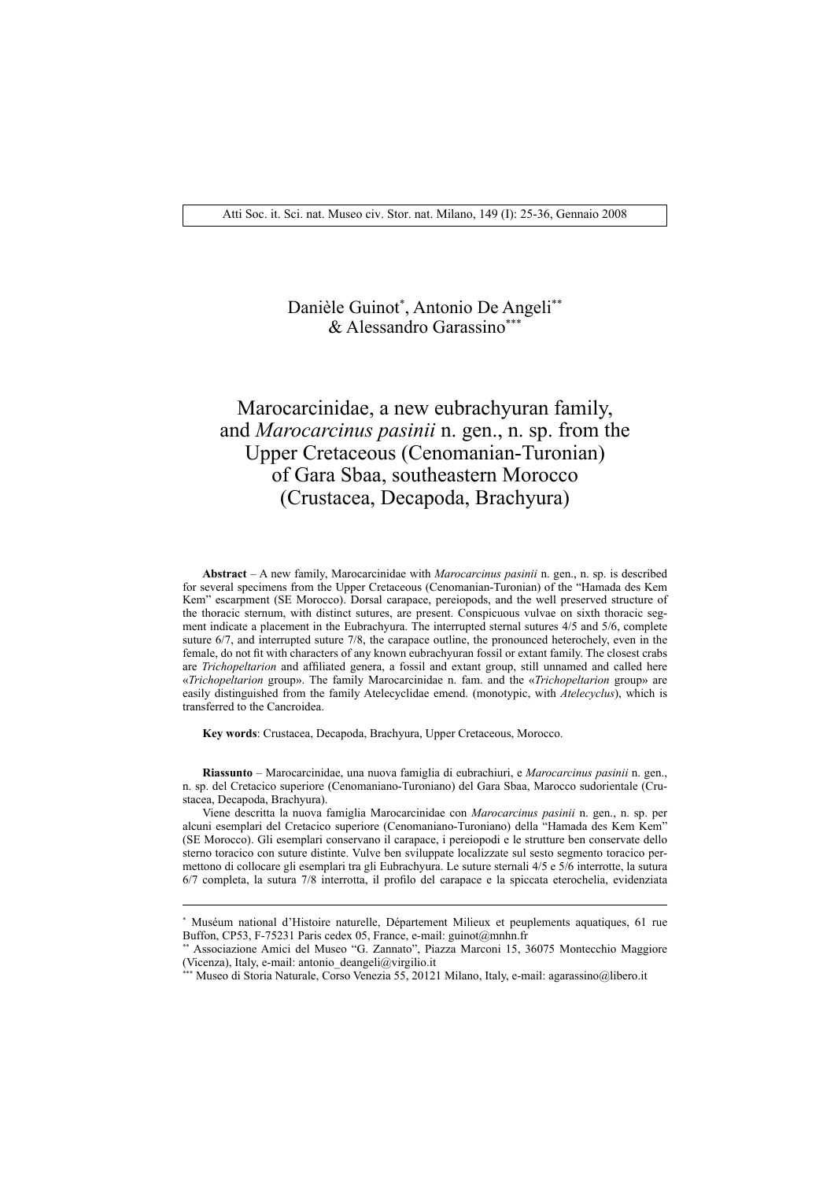## Danièle Guinot\* , Antonio De Angeli\*\* & Alessandro Garassino\*\*\*

# Marocarcinidae, a new eubrachyuran family, and *Marocarcinus pasinii* n. gen., n. sp. from the Upper Cretaceous (Cenomanian-Turonian) of Gara Sbaa, southeastern Morocco (Crustacea, Decapoda, Brachyura)

**Abstract** – A new family, Marocarcinidae with *Marocarcinus pasinii* n. gen., n. sp. is described for several specimens from the Upper Cretaceous (Cenomanian-Turonian) of the "Hamada des Kem Kem" escarpment (SE Morocco). Dorsal carapace, pereiopods, and the well preserved structure of the thoracic sternum, with distinct sutures, are present. Conspicuous vulvae on sixth thoracic segment indicate a placement in the Eubrachyura. The interrupted sternal sutures 4/5 and 5/6, complete suture 6/7, and interrupted suture 7/8, the carapace outline, the pronounced heterochely, even in the female, do not fi t with characters of any known eubrachyuran fossil or extant family. The closest crabs are *Trichopeltarion* and affiliated genera, a fossil and extant group, still unnamed and called here «*Trichopeltarion* group». The family Marocarcinidae n. fam. and the «*Trichopeltarion* group» are easily distinguished from the family Atelecyclidae emend. (monotypic, with *Atelecyclus*), which is transferred to the Cancroidea.

**Key words**: Crustacea, Decapoda, Brachyura, Upper Cretaceous, Morocco.

**Riassunto** – Marocarcinidae, una nuova famiglia di eubrachiuri, e *Marocarcinus pasinii* n. gen., n. sp. del Cretacico superiore (Cenomaniano-Turoniano) del Gara Sbaa, Marocco sudorientale (Crustacea, Decapoda, Brachyura).

Viene descritta la nuova famiglia Marocarcinidae con *Marocarcinus pasinii* n. gen., n. sp. per alcuni esemplari del Cretacico superiore (Cenomaniano-Turoniano) della "Hamada des Kem Kem" (SE Morocco). Gli esemplari conservano il carapace, i pereiopodi e le strutture ben conservate dello sterno toracico con suture distinte. Vulve ben sviluppate localizzate sul sesto segmento toracico permettono di collocare gli esemplari tra gli Eubrachyura. Le suture sternali 4/5 e 5/6 interrotte, la sutura 6/7 completa, la sutura 7/8 interrotta, il profilo del carapace e la spiccata eterochelia, evidenziata

<sup>\*</sup> Muséum national d'Histoire naturelle, Département Milieux et peuplements aquatiques, 61 rue Buffon, CP53, F-75231 Paris cedex 05, France, e-mail: guinot@mnhn.fr

<sup>\*\*</sup> Associazione Amici del Museo "G. Zannato", Piazza Marconi 15, 36075 Montecchio Maggiore (Vicenza), Italy, e-mail: antonio\_deangeli@virgilio.it

<sup>\*\*\*</sup> Museo di Storia Naturale, Corso Venezia 55, 20121 Milano, Italy, e-mail: agarassino@libero.it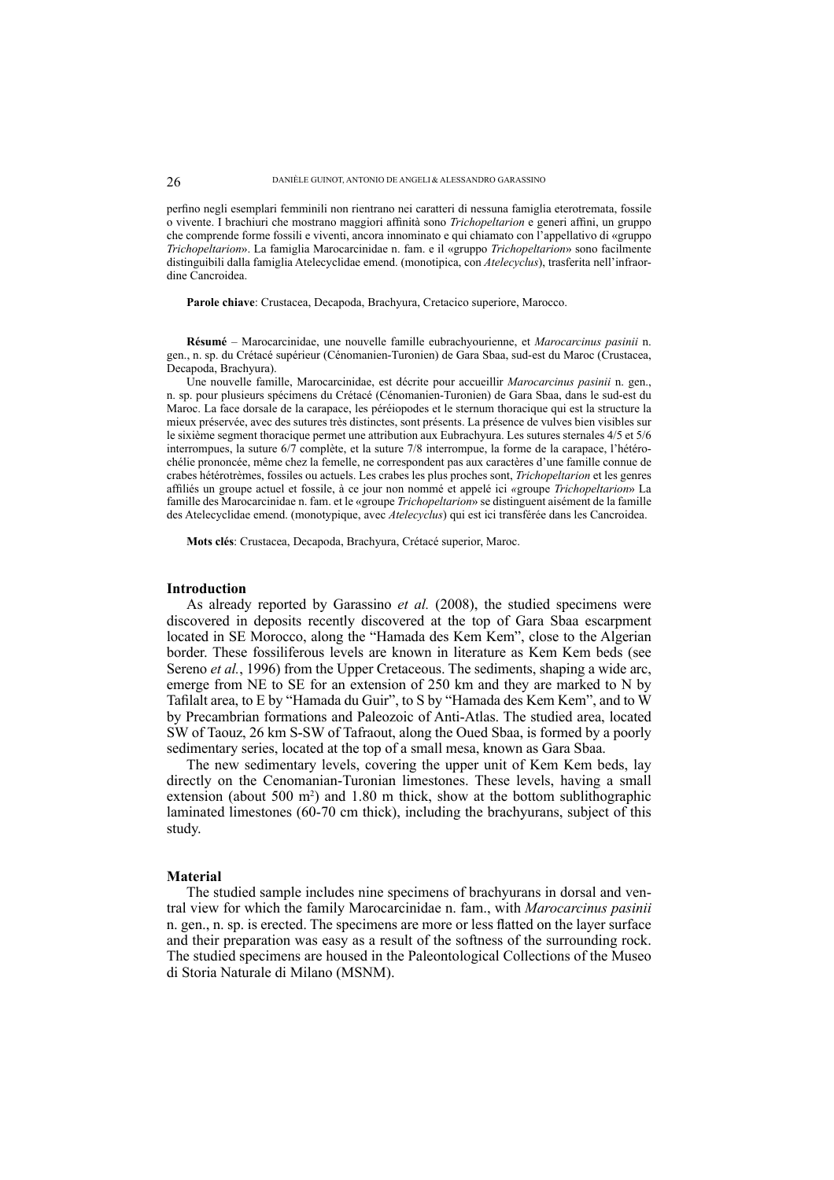perfino negli esemplari femminili non rientrano nei caratteri di nessuna famiglia eterotremata, fossile o vivente. I brachiuri che mostrano maggiori affinità sono *Trichopeltarion* e generi affini, un gruppo che comprende forme fossili e viventi, ancora innominato e qui chiamato con l'appellativo di «gruppo *Trichopeltarion*». La famiglia Marocarcinidae n. fam. e il «gruppo *Trichopeltarion*» sono facilmente distinguibili dalla famiglia Atelecyclidae emend. (monotipica, con *Atelecyclus*), trasferita nell'infraordine Cancroidea.

**Parole chiave**: Crustacea, Decapoda, Brachyura, Cretacico superiore, Marocco.

**Résumé** – Marocarcinidae, une nouvelle famille eubrachyourienne, et *Marocarcinus pasinii* n. gen., n. sp. du Crétacé supérieur (Cénomanien-Turonien) de Gara Sbaa, sud-est du Maroc (Crustacea, Decapoda, Brachyura).

Une nouvelle famille, Marocarcinidae, est décrite pour accueillir *Marocarcinus pasinii* n. gen., n. sp. pour plusieurs spécimens du Crétacé (Cénomanien-Turonien) de Gara Sbaa, dans le sud-est du Maroc. La face dorsale de la carapace, les péréiopodes et le sternum thoracique qui est la structure la mieux préservée, avec des sutures très distinctes, sont présents. La présence de vulves bien visibles sur le sixième segment thoracique permet une attribution aux Eubrachyura. Les sutures sternales 4/5 et 5/6 interrompues, la suture 6/7 complète, et la suture 7/8 interrompue, la forme de la carapace, l'hétérochélie prononcée, même chez la femelle, ne correspondent pas aux caractères d'une famille connue de crabes hétérotrèmes, fossiles ou actuels. Les crabes les plus proches sont, *Trichopeltarion* et les genres affi liés un groupe actuel et fossile, à ce jour non nommé et appelé ici *«*groupe *Trichopeltarion*» La famille des Marocarcinidae n. fam. et le «groupe *Trichopeltarion*» se distinguent aisément de la famille des Atelecyclidae emend. (monotypique, avec *Atelecyclus*) qui est ici transférée dans les Cancroidea.

**Mots clés**: Crustacea, Decapoda, Brachyura, Crétacé superior, Maroc.

#### **Introduction**

As already reported by Garassino *et al.* (2008), the studied specimens were discovered in deposits recently discovered at the top of Gara Sbaa escarpment located in SE Morocco, along the "Hamada des Kem Kem", close to the Algerian border. These fossiliferous levels are known in literature as Kem Kem beds (see Sereno *et al.*, 1996) from the Upper Cretaceous. The sediments, shaping a wide arc, emerge from NE to SE for an extension of 250 km and they are marked to N by Tafilalt area, to E by "Hamada du Guir", to S by "Hamada des Kem Kem", and to W by Precambrian formations and Paleozoic of Anti-Atlas. The studied area, located SW of Taouz, 26 km S-SW of Tafraout, along the Oued Sbaa, is formed by a poorly sedimentary series, located at the top of a small mesa, known as Gara Sbaa.

The new sedimentary levels, covering the upper unit of Kem Kem beds, lay directly on the Cenomanian-Turonian limestones. These levels, having a small extension (about  $500 \text{ m}^2$ ) and  $1.80 \text{ m}$  thick, show at the bottom sublithographic laminated limestones (60-70 cm thick), including the brachyurans, subject of this study.

#### **Material**

The studied sample includes nine specimens of brachyurans in dorsal and ventral view for which the family Marocarcinidae n. fam., with *Marocarcinus pasinii* n. gen., n. sp. is erected. The specimens are more or less flatted on the layer surface and their preparation was easy as a result of the softness of the surrounding rock. The studied specimens are housed in the Paleontological Collections of the Museo di Storia Naturale di Milano (MSNM).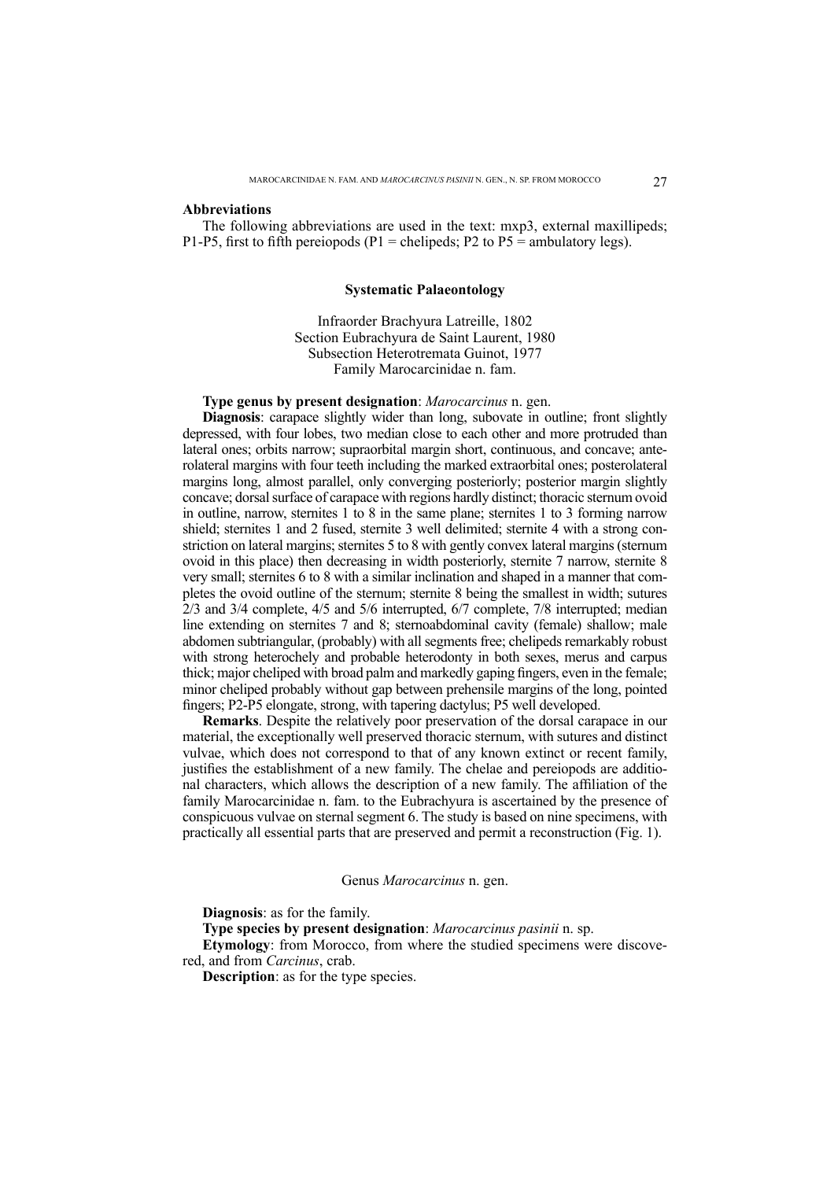#### **Abbreviations**

The following abbreviations are used in the text: mxp3, external maxillipeds; P1-P5, first to fifth pereiopods (P1 = chelipeds; P2 to P5 = ambulatory legs).

#### **Systematic Palaeontology**

Infraorder Brachyura Latreille, 1802 Section Eubrachyura de Saint Laurent, 1980 Subsection Heterotremata Guinot, 1977 Family Marocarcinidae n. fam.

## **Type genus by present designation**: *Marocarcinus* n. gen.

**Diagnosis**: carapace slightly wider than long, subovate in outline; front slightly depressed, with four lobes, two median close to each other and more protruded than lateral ones; orbits narrow; supraorbital margin short, continuous, and concave; anterolateral margins with four teeth including the marked extraorbital ones; posterolateral margins long, almost parallel, only converging posteriorly; posterior margin slightly concave; dorsal surface of carapace with regions hardly distinct; thoracic sternum ovoid in outline, narrow, sternites 1 to 8 in the same plane; sternites 1 to 3 forming narrow shield; sternites 1 and 2 fused, sternite 3 well delimited; sternite 4 with a strong constriction on lateral margins; sternites 5 to 8 with gently convex lateral margins (sternum ovoid in this place) then decreasing in width posteriorly, sternite 7 narrow, sternite 8 very small; sternites 6 to 8 with a similar inclination and shaped in a manner that completes the ovoid outline of the sternum; sternite 8 being the smallest in width; sutures 2/3 and 3/4 complete, 4/5 and 5/6 interrupted, 6/7 complete, 7/8 interrupted; median line extending on sternites 7 and 8; sternoabdominal cavity (female) shallow; male abdomen subtriangular, (probably) with all segments free; chelipeds remarkably robust with strong heterochely and probable heterodonty in both sexes, merus and carpus thick; major cheliped with broad palm and markedly gaping fingers, even in the female; minor cheliped probably without gap between prehensile margins of the long, pointed fingers; P2-P5 elongate, strong, with tapering dactylus; P5 well developed.

**Remarks**. Despite the relatively poor preservation of the dorsal carapace in our material, the exceptionally well preserved thoracic sternum, with sutures and distinct vulvae, which does not correspond to that of any known extinct or recent family, justifies the establishment of a new family. The chelae and pereiopods are additional characters, which allows the description of a new family. The affiliation of the family Marocarcinidae n. fam. to the Eubrachyura is ascertained by the presence of conspicuous vulvae on sternal segment 6. The study is based on nine specimens, with practically all essential parts that are preserved and permit a reconstruction (Fig. 1).

#### Genus *Marocarcinus* n. gen.

**Diagnosis**: as for the family.

**Type species by present designation**: *Marocarcinus pasinii* n. sp.

**Etymology**: from Morocco, from where the studied specimens were discovered, and from *Carcinus*, crab.

**Description**: as for the type species.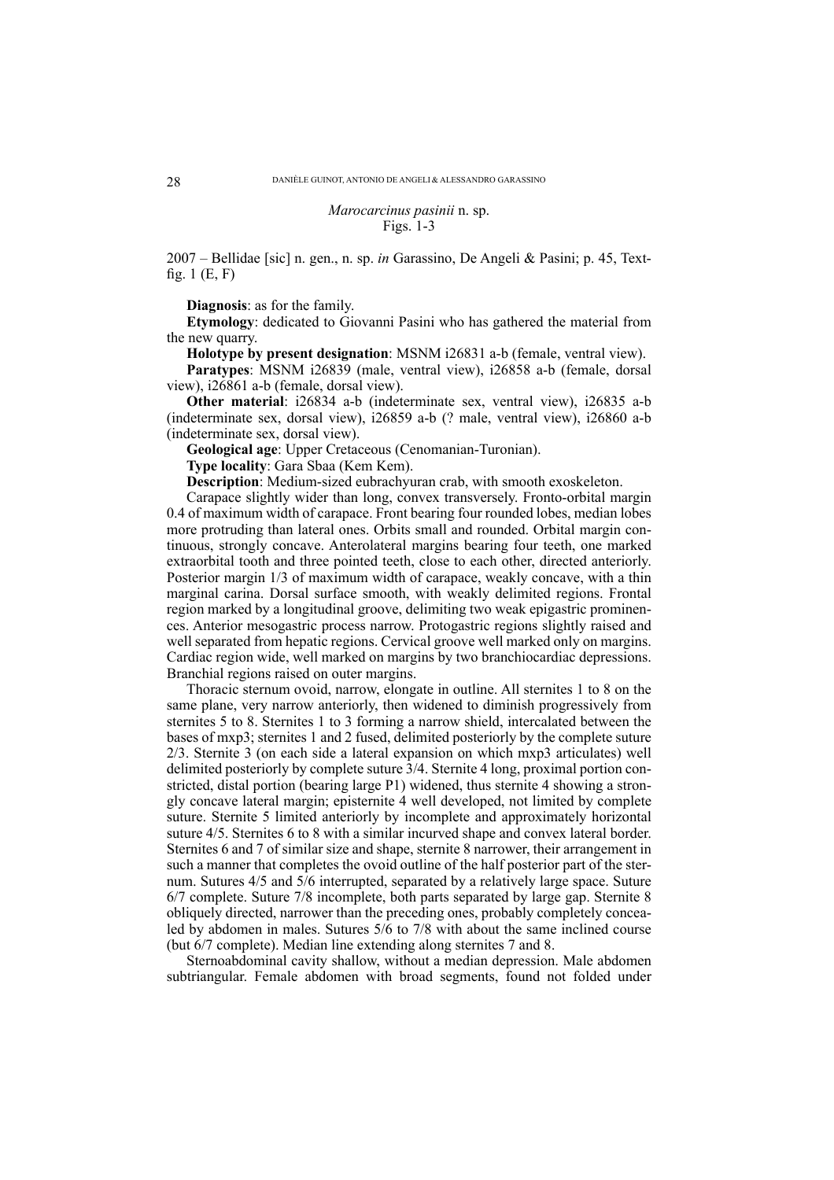*Marocarcinus pasinii* n. sp. Figs. 1-3

2007 – Bellidae [sic] n. gen., n. sp. *in* Garassino, De Angeli & Pasini; p. 45, Textfig.  $1(E, F)$ 

**Diagnosis**: as for the family.

**Etymology**: dedicated to Giovanni Pasini who has gathered the material from the new quarry.

**Holotype by present designation**: MSNM i26831 a-b (female, ventral view).

**Paratypes**: MSNM i26839 (male, ventral view), i26858 a-b (female, dorsal view), i26861 a-b (female, dorsal view).

**Other material**: i26834 a-b (indeterminate sex, ventral view), i26835 a-b (indeterminate sex, dorsal view), i26859 a-b (? male, ventral view), i26860 a-b (indeterminate sex, dorsal view).

**Geological age**: Upper Cretaceous (Cenomanian-Turonian).

**Type locality**: Gara Sbaa (Kem Kem).

**Description**: Medium-sized eubrachyuran crab, with smooth exoskeleton.

Carapace slightly wider than long, convex transversely. Fronto-orbital margin 0.4 of maximum width of carapace. Front bearing four rounded lobes, median lobes more protruding than lateral ones. Orbits small and rounded. Orbital margin continuous, strongly concave. Anterolateral margins bearing four teeth, one marked extraorbital tooth and three pointed teeth, close to each other, directed anteriorly. Posterior margin 1/3 of maximum width of carapace, weakly concave, with a thin marginal carina. Dorsal surface smooth, with weakly delimited regions. Frontal region marked by a longitudinal groove, delimiting two weak epigastric prominences. Anterior mesogastric process narrow. Protogastric regions slightly raised and well separated from hepatic regions. Cervical groove well marked only on margins. Cardiac region wide, well marked on margins by two branchiocardiac depressions. Branchial regions raised on outer margins.

Thoracic sternum ovoid, narrow, elongate in outline. All sternites 1 to 8 on the same plane, very narrow anteriorly, then widened to diminish progressively from sternites 5 to 8. Sternites 1 to 3 forming a narrow shield, intercalated between the bases of mxp3; sternites 1 and 2 fused, delimited posteriorly by the complete suture 2/3. Sternite 3 (on each side a lateral expansion on which mxp3 articulates) well delimited posteriorly by complete suture 3/4. Sternite 4 long, proximal portion constricted, distal portion (bearing large P1) widened, thus sternite 4 showing a strongly concave lateral margin; episternite 4 well developed, not limited by complete suture. Sternite 5 limited anteriorly by incomplete and approximately horizontal suture 4/5. Sternites 6 to 8 with a similar incurved shape and convex lateral border. Sternites 6 and 7 of similar size and shape, sternite 8 narrower, their arrangement in such a manner that completes the ovoid outline of the half posterior part of the sternum. Sutures 4/5 and 5/6 interrupted, separated by a relatively large space. Suture 6/7 complete. Suture 7/8 incomplete, both parts separated by large gap. Sternite 8 obliquely directed, narrower than the preceding ones, probably completely concealed by abdomen in males. Sutures 5/6 to 7/8 with about the same inclined course (but 6/7 complete). Median line extending along sternites 7 and 8.

Sternoabdominal cavity shallow, without a median depression. Male abdomen subtriangular. Female abdomen with broad segments, found not folded under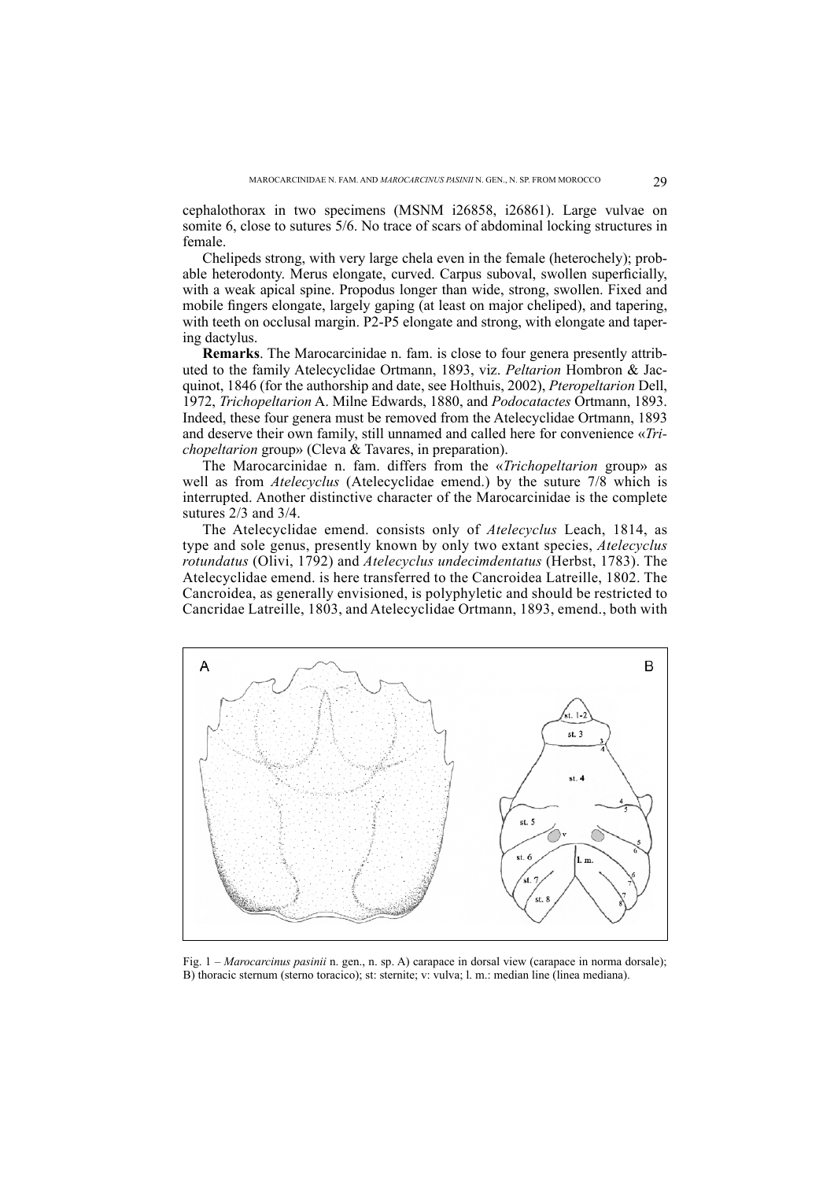cephalothorax in two specimens (MSNM i26858, i26861). Large vulvae on somite 6, close to sutures 5/6. No trace of scars of abdominal locking structures in female.

Chelipeds strong, with very large chela even in the female (heterochely); probable heterodonty. Merus elongate, curved. Carpus suboval, swollen superficially, with a weak apical spine. Propodus longer than wide, strong, swollen. Fixed and mobile fingers elongate, largely gaping (at least on major cheliped), and tapering, with teeth on occlusal margin. P2-P5 elongate and strong, with elongate and tapering dactylus.

**Remarks**. The Marocarcinidae n. fam. is close to four genera presently attributed to the family Atelecyclidae Ortmann, 1893, viz. *Peltarion* Hombron & Jacquinot, 1846 (for the authorship and date, see Holthuis, 2002), *Pteropeltarion* Dell, 1972, *Trichopeltarion* A. Milne Edwards, 1880, and *Podocatactes* Ortmann, 1893. Indeed, these four genera must be removed from the Atelecyclidae Ortmann, 1893 and deserve their own family, still unnamed and called here for convenience «*Trichopeltarion* group» (Cleva & Tavares, in preparation).

The Marocarcinidae n. fam. differs from the «*Trichopeltarion* group» as well as from *Atelecyclus* (Atelecyclidae emend.) by the suture 7/8 which is interrupted. Another distinctive character of the Marocarcinidae is the complete sutures 2/3 and 3/4.

The Atelecyclidae emend. consists only of *Atelecyclus* Leach, 1814, as type and sole genus, presently known by only two extant species, *Atelecyclus rotundatus* (Olivi, 1792) and *Atelecyclus undecimdentatus* (Herbst, 1783). The Atelecyclidae emend. is here transferred to the Cancroidea Latreille, 1802. The Cancroidea, as generally envisioned, is polyphyletic and should be restricted to Cancridae Latreille, 1803, and Atelecyclidae Ortmann, 1893, emend., both with



Fig. 1 – *Marocarcinus pasinii* n. gen., n. sp. A) carapace in dorsal view (carapace in norma dorsale); B) thoracic sternum (sterno toracico); st: sternite; v: vulva; l. m.: median line (linea mediana).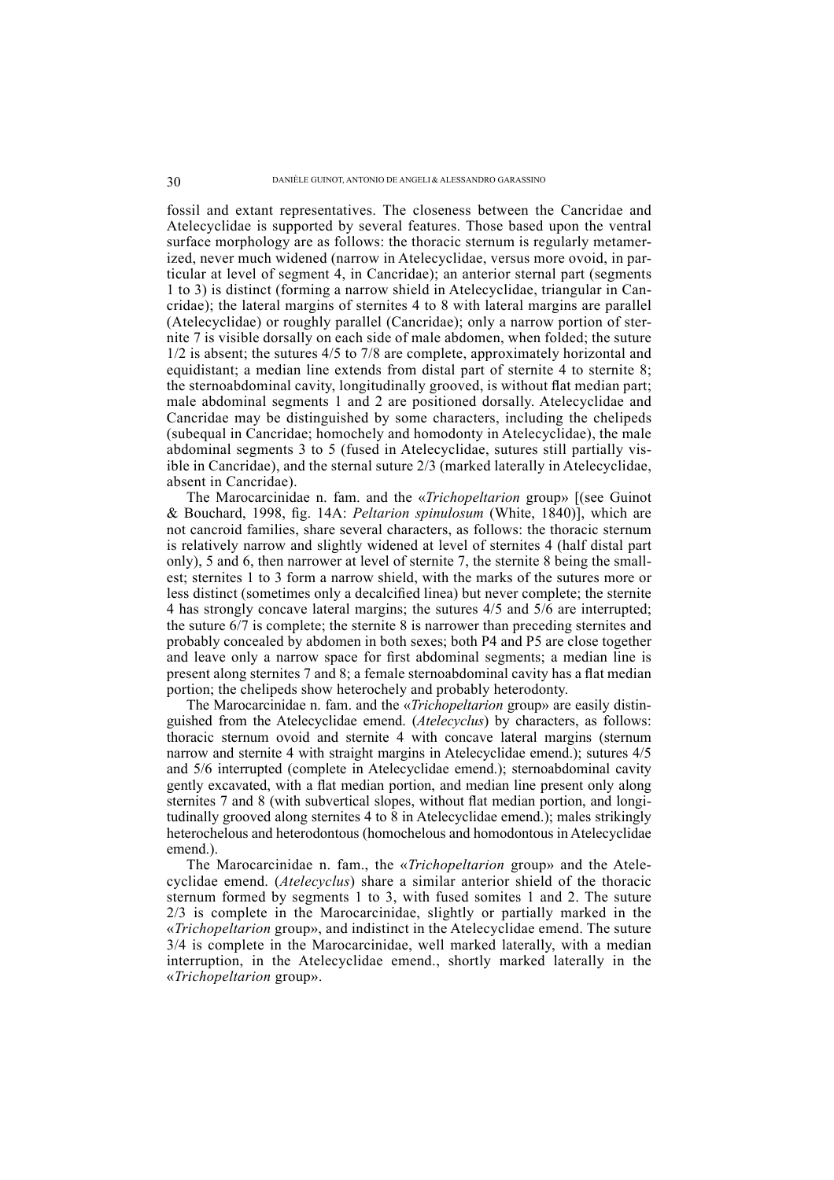fossil and extant representatives. The closeness between the Cancridae and Atelecyclidae is supported by several features. Those based upon the ventral surface morphology are as follows: the thoracic sternum is regularly metamerized, never much widened (narrow in Atelecyclidae, versus more ovoid, in particular at level of segment 4, in Cancridae); an anterior sternal part (segments 1 to 3) is distinct (forming a narrow shield in Atelecyclidae, triangular in Cancridae); the lateral margins of sternites 4 to 8 with lateral margins are parallel (Atelecyclidae) or roughly parallel (Cancridae); only a narrow portion of sternite 7 is visible dorsally on each side of male abdomen, when folded; the suture 1/2 is absent; the sutures 4/5 to 7/8 are complete, approximately horizontal and equidistant; a median line extends from distal part of sternite 4 to sternite 8; the sternoabdominal cavity, longitudinally grooved, is without flat median part; male abdominal segments 1 and 2 are positioned dorsally. Atelecyclidae and Cancridae may be distinguished by some characters, including the chelipeds (subequal in Cancridae; homochely and homodonty in Atelecyclidae), the male abdominal segments 3 to 5 (fused in Atelecyclidae, sutures still partially visible in Cancridae), and the sternal suture 2/3 (marked laterally in Atelecyclidae, absent in Cancridae).

The Marocarcinidae n. fam. and the «*Trichopeltarion* group» [(see Guinot & Bouchard, 1998, fig. 14A: *Peltarion spinulosum* (White, 1840)], which are not cancroid families, share several characters, as follows: the thoracic sternum is relatively narrow and slightly widened at level of sternites 4 (half distal part only), 5 and 6, then narrower at level of sternite 7, the sternite 8 being the smallest; sternites 1 to 3 form a narrow shield, with the marks of the sutures more or less distinct (sometimes only a decalcified linea) but never complete; the sternite 4 has strongly concave lateral margins; the sutures 4/5 and 5/6 are interrupted; the suture 6/7 is complete; the sternite 8 is narrower than preceding sternites and probably concealed by abdomen in both sexes; both P4 and P5 are close together and leave only a narrow space for first abdominal segments; a median line is present along sternites 7 and 8; a female sternoabdominal cavity has a flat median portion; the chelipeds show heterochely and probably heterodonty.

The Marocarcinidae n. fam. and the «*Trichopeltarion* group» are easily distinguished from the Atelecyclidae emend. (*Atelecyclus*) by characters, as follows: thoracic sternum ovoid and sternite 4 with concave lateral margins (sternum narrow and sternite 4 with straight margins in Atelecyclidae emend.); sutures 4/5 and 5/6 interrupted (complete in Atelecyclidae emend.); sternoabdominal cavity gently excavated, with a flat median portion, and median line present only along sternites 7 and 8 (with subvertical slopes, without flat median portion, and longitudinally grooved along sternites 4 to 8 in Atelecyclidae emend.); males strikingly heterochelous and heterodontous (homochelous and homodontous in Atelecyclidae emend.).

The Marocarcinidae n. fam., the «*Trichopeltarion* group» and the Atelecyclidae emend. (*Atelecyclus*) share a similar anterior shield of the thoracic sternum formed by segments 1 to 3, with fused somites 1 and 2. The suture 2/3 is complete in the Marocarcinidae, slightly or partially marked in the «*Trichopeltarion* group», and indistinct in the Atelecyclidae emend. The suture 3/4 is complete in the Marocarcinidae, well marked laterally, with a median interruption, in the Atelecyclidae emend., shortly marked laterally in the «*Trichopeltarion* group».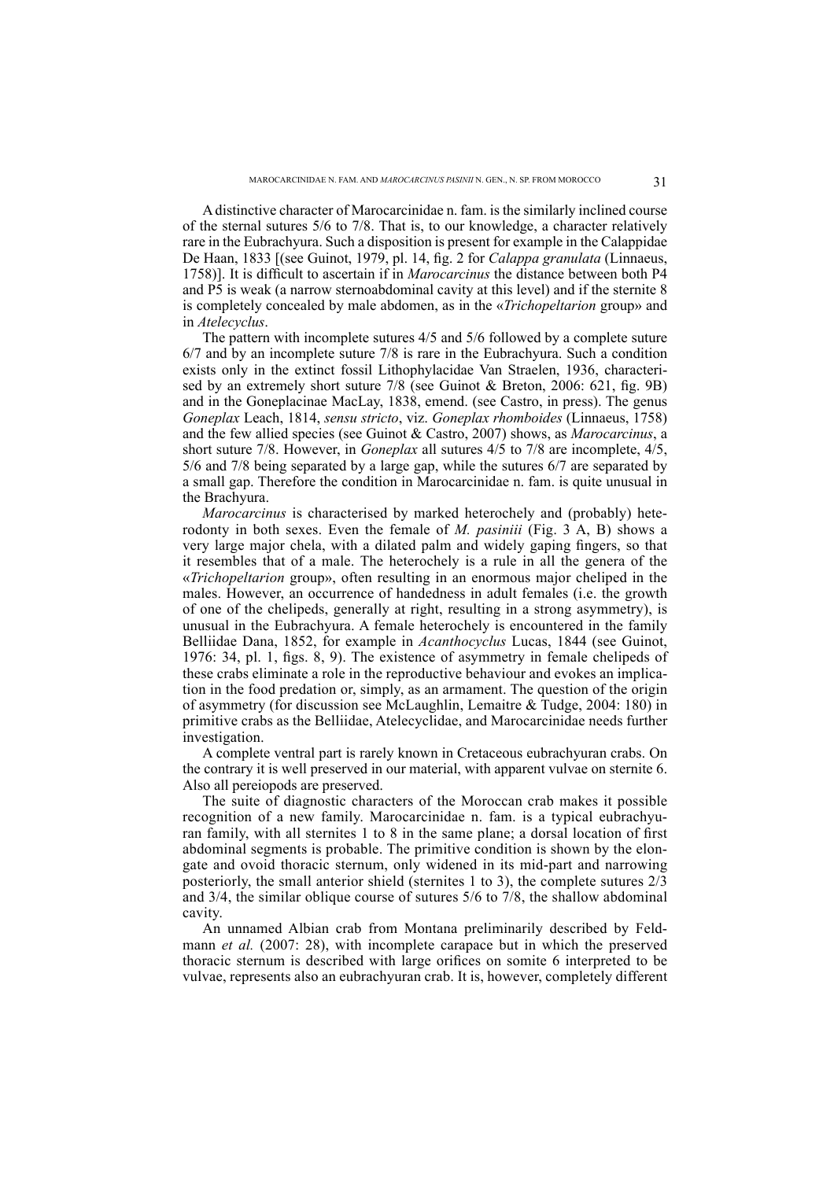A distinctive character of Marocarcinidae n. fam. is the similarly inclined course of the sternal sutures 5/6 to 7/8. That is, to our knowledge, a character relatively rare in the Eubrachyura. Such a disposition is present for example in the Calappidae De Haan, 1833 [(see Guinot, 1979, pl. 14, fig. 2 for *Calappa granulata* (Linnaeus, 1758)]. It is difficult to ascertain if in *Marocarcinus* the distance between both P4 and P5 is weak (a narrow sternoabdominal cavity at this level) and if the sternite 8 is completely concealed by male abdomen, as in the «*Trichopeltarion* group» and in *Atelecyclus*.

The pattern with incomplete sutures 4/5 and 5/6 followed by a complete suture 6/7 and by an incomplete suture 7/8 is rare in the Eubrachyura. Such a condition exists only in the extinct fossil Lithophylacidae Van Straelen, 1936, characterised by an extremely short suture 7/8 (see Guinot & Breton, 2006: 621, fig. 9B) and in the Goneplacinae MacLay, 1838, emend. (see Castro, in press). The genus *Goneplax* Leach, 1814, *sensu stricto*, viz. *Goneplax rhomboides* (Linnaeus, 1758) and the few allied species (see Guinot & Castro, 2007) shows, as *Marocarcinus*, a short suture 7/8. However, in *Goneplax* all sutures 4/5 to 7/8 are incomplete, 4/5, 5/6 and 7/8 being separated by a large gap, while the sutures 6/7 are separated by a small gap. Therefore the condition in Marocarcinidae n. fam. is quite unusual in the Brachyura.

*Marocarcinus* is characterised by marked heterochely and (probably) heterodonty in both sexes. Even the female of *M. pasiniii* (Fig. 3 A, B) shows a very large major chela, with a dilated palm and widely gaping fingers, so that it resembles that of a male. The heterochely is a rule in all the genera of the «*Trichopeltarion* group», often resulting in an enormous major cheliped in the males. However, an occurrence of handedness in adult females (i.e. the growth of one of the chelipeds, generally at right, resulting in a strong asymmetry), is unusual in the Eubrachyura. A female heterochely is encountered in the family Belliidae Dana, 1852, for example in *Acanthocyclus* Lucas, 1844 (see Guinot, 1976: 34, pl. 1, figs. 8, 9). The existence of asymmetry in female chelipeds of these crabs eliminate a role in the reproductive behaviour and evokes an implication in the food predation or, simply, as an armament. The question of the origin of asymmetry (for discussion see McLaughlin, Lemaitre & Tudge, 2004: 180) in primitive crabs as the Belliidae, Atelecyclidae, and Marocarcinidae needs further investigation.

A complete ventral part is rarely known in Cretaceous eubrachyuran crabs. On the contrary it is well preserved in our material, with apparent vulvae on sternite 6. Also all pereiopods are preserved.

The suite of diagnostic characters of the Moroccan crab makes it possible recognition of a new family. Marocarcinidae n. fam. is a typical eubrachyuran family, with all sternites 1 to 8 in the same plane; a dorsal location of first abdominal segments is probable. The primitive condition is shown by the elongate and ovoid thoracic sternum, only widened in its mid-part and narrowing posteriorly, the small anterior shield (sternites 1 to 3), the complete sutures 2/3 and 3/4, the similar oblique course of sutures 5/6 to 7/8, the shallow abdominal cavity.

An unnamed Albian crab from Montana preliminarily described by Feldmann *et al.* (2007: 28), with incomplete carapace but in which the preserved thoracic sternum is described with large orifices on somite 6 interpreted to be vulvae, represents also an eubrachyuran crab. It is, however, completely different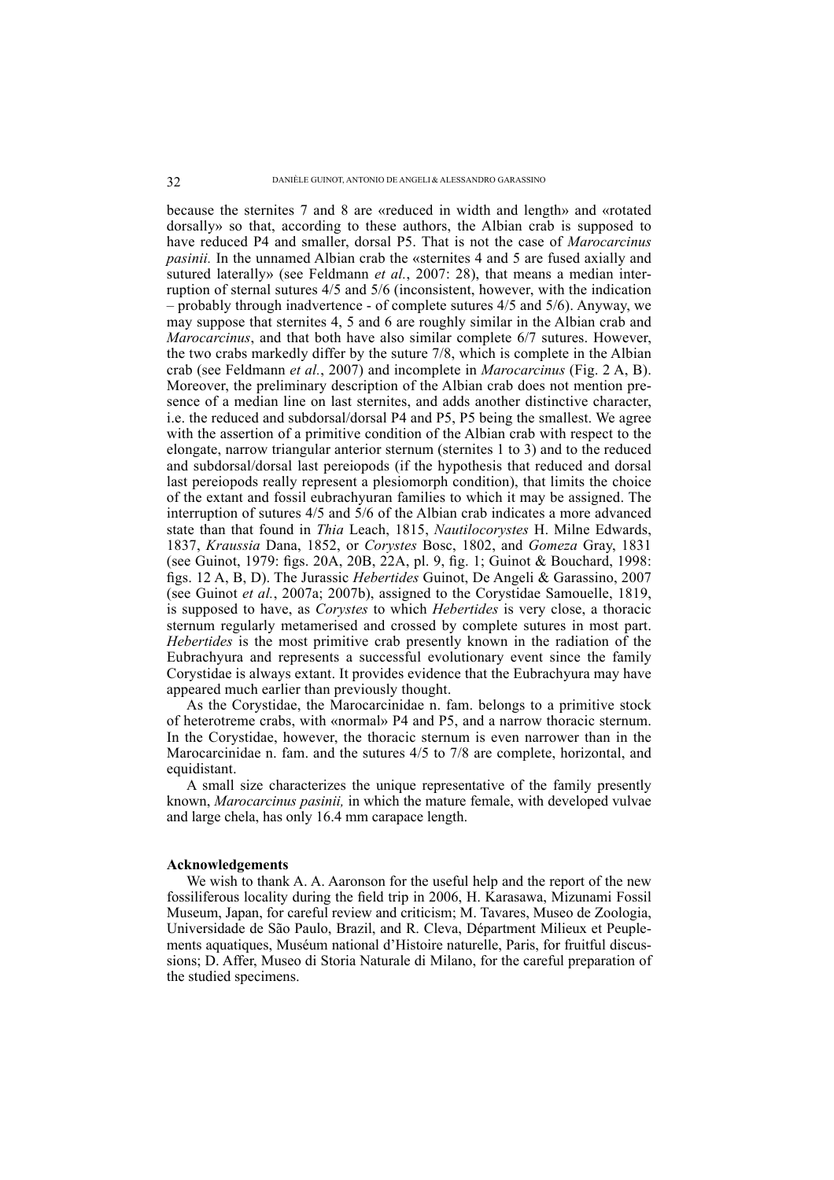because the sternites 7 and 8 are «reduced in width and length» and «rotated dorsally» so that, according to these authors, the Albian crab is supposed to have reduced P4 and smaller, dorsal P5. That is not the case of *Marocarcinus pasinii.* In the unnamed Albian crab the «sternites 4 and 5 are fused axially and sutured laterally» (see Feldmann *et al.*, 2007: 28), that means a median interruption of sternal sutures 4/5 and 5/6 (inconsistent, however, with the indication – probably through inadvertence - of complete sutures 4/5 and 5/6). Anyway, we may suppose that sternites 4, 5 and 6 are roughly similar in the Albian crab and *Marocarcinus*, and that both have also similar complete 6/7 sutures. However, the two crabs markedly differ by the suture 7/8, which is complete in the Albian crab (see Feldmann *et al.*, 2007) and incomplete in *Marocarcinus* (Fig. 2 A, B). Moreover, the preliminary description of the Albian crab does not mention presence of a median line on last sternites, and adds another distinctive character, i.e. the reduced and subdorsal/dorsal P4 and P5, P5 being the smallest. We agree with the assertion of a primitive condition of the Albian crab with respect to the elongate, narrow triangular anterior sternum (sternites 1 to 3) and to the reduced and subdorsal/dorsal last pereiopods (if the hypothesis that reduced and dorsal last pereiopods really represent a plesiomorph condition), that limits the choice of the extant and fossil eubrachyuran families to which it may be assigned. The interruption of sutures 4/5 and 5/6 of the Albian crab indicates a more advanced state than that found in *Thia* Leach, 1815, *Nautilocorystes* H. Milne Edwards, 1837, *Kraussia* Dana, 1852, or *Corystes* Bosc, 1802, and *Gomeza* Gray, 1831 (see Guinot, 1979: figs. 20A, 20B, 22A, pl. 9, fig. 1; Guinot & Bouchard, 1998: fi gs. 12 A, B, D). The Jurassic *Hebertides* Guinot, De Angeli & Garassino, 2007 (see Guinot *et al.*, 2007a; 2007b), assigned to the Corystidae Samouelle, 1819, is supposed to have, as *Corystes* to which *Hebertides* is very close, a thoracic sternum regularly metamerised and crossed by complete sutures in most part. *Hebertides* is the most primitive crab presently known in the radiation of the Eubrachyura and represents a successful evolutionary event since the family Corystidae is always extant. It provides evidence that the Eubrachyura may have appeared much earlier than previously thought.

As the Corystidae, the Marocarcinidae n. fam. belongs to a primitive stock of heterotreme crabs, with «normal» P4 and P5, and a narrow thoracic sternum. In the Corystidae, however, the thoracic sternum is even narrower than in the Marocarcinidae n. fam. and the sutures 4/5 to 7/8 are complete, horizontal, and equidistant.

A small size characterizes the unique representative of the family presently known, *Marocarcinus pasinii,* in which the mature female, with developed vulvae and large chela, has only 16.4 mm carapace length.

### **Acknowledgements**

We wish to thank A. A. Aaronson for the useful help and the report of the new fossiliferous locality during the field trip in 2006, H. Karasawa, Mizunami Fossil Museum, Japan, for careful review and criticism; M. Tavares, Museo de Zoologia, Universidade de São Paulo, Brazil, and R. Cleva, Départment Milieux et Peuplements aquatiques, Muséum national d'Histoire naturelle, Paris, for fruitful discussions; D. Affer, Museo di Storia Naturale di Milano, for the careful preparation of the studied specimens.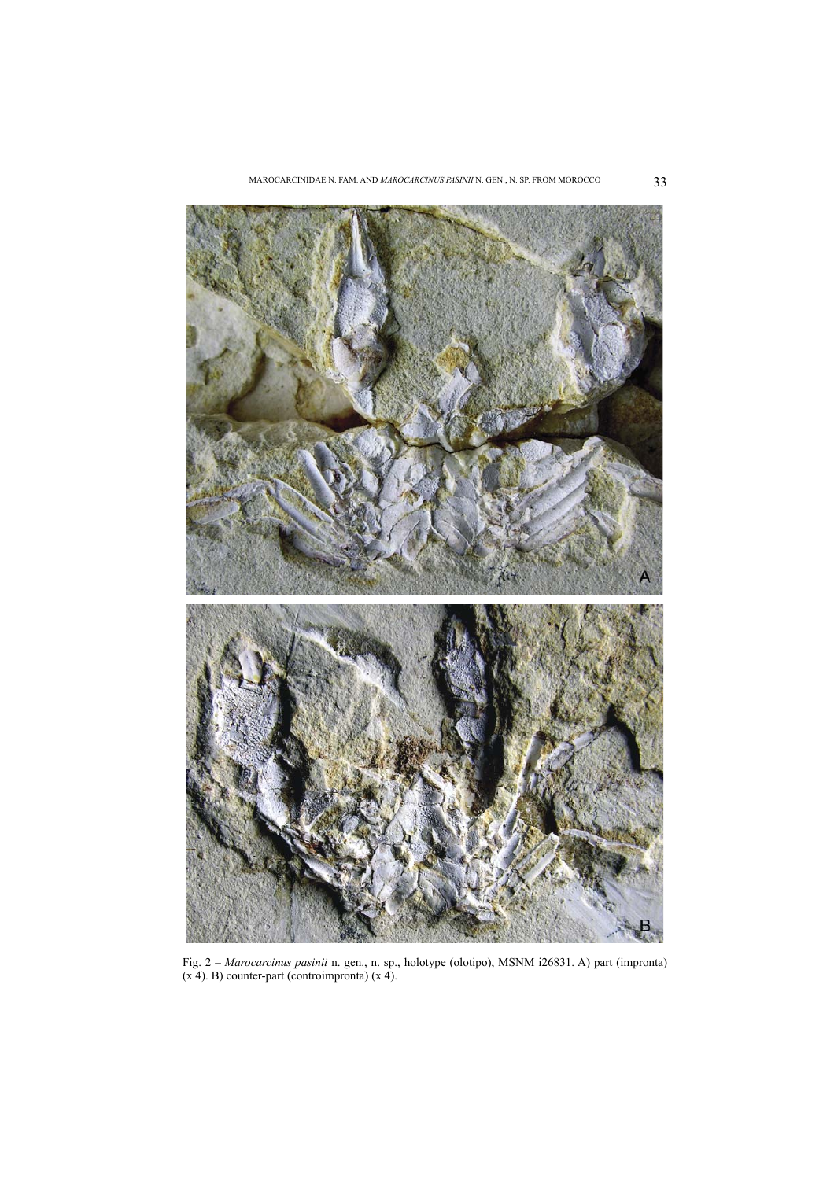

Fig. 2 – *Marocarcinus pasinii* n. gen., n. sp., holotype (olotipo), MSNM i26831. A) part (impronta)  $(x 4)$ . B) counter-part (controimpronta)  $(x 4)$ .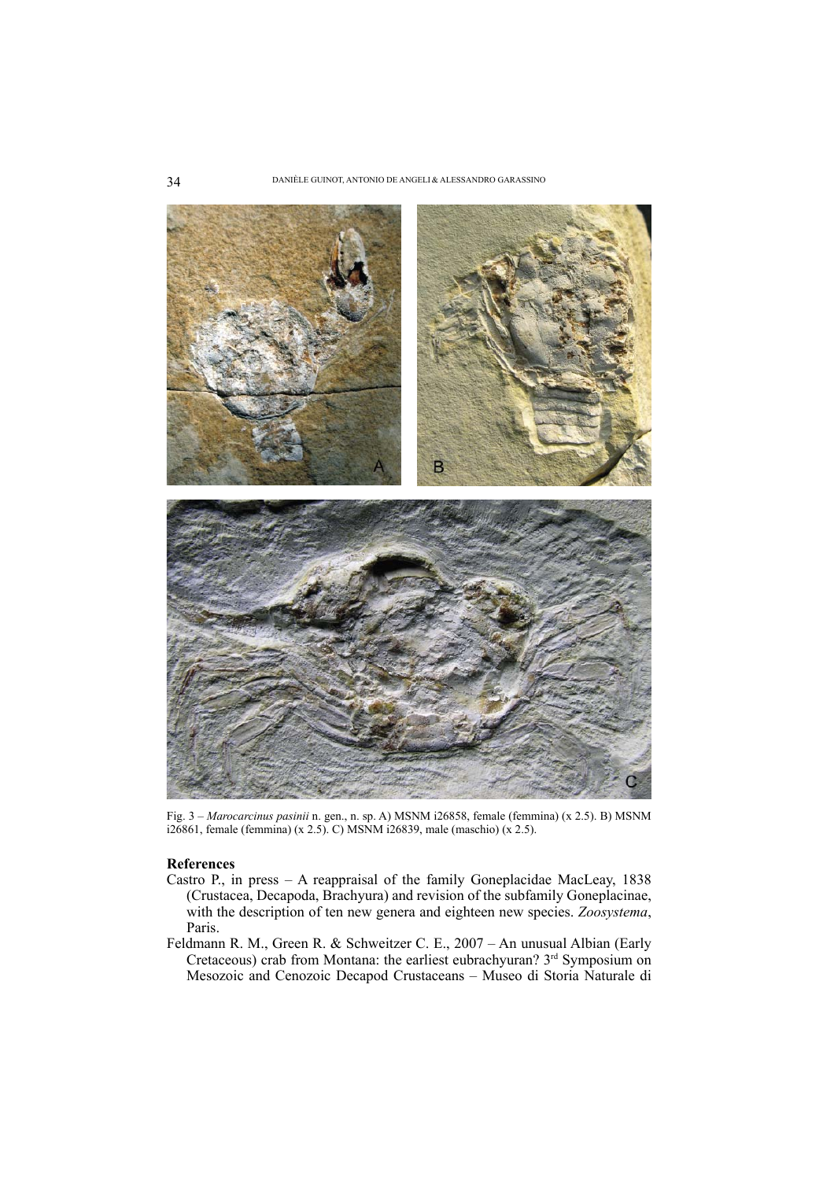

Fig. 3 – *Marocarcinus pasinii* n. gen., n. sp. A) MSNM i26858, female (femmina) (x 2.5). B) MSNM i26861, female (femmina) (x 2.5). C) MSNM i26839, male (maschio) (x 2.5).

## **References**

- Castro P., in press A reappraisal of the family Goneplacidae MacLeay, 1838 (Crustacea, Decapoda, Brachyura) and revision of the subfamily Goneplacinae, with the description of ten new genera and eighteen new species. *Zoosystema*, Paris.
- Feldmann R. M., Green R. & Schweitzer C. E., 2007 An unusual Albian (Early Cretaceous) crab from Montana: the earliest eubrachyuran? 3<sup>rd</sup> Symposium on Mesozoic and Cenozoic Decapod Crustaceans – Museo di Storia Naturale di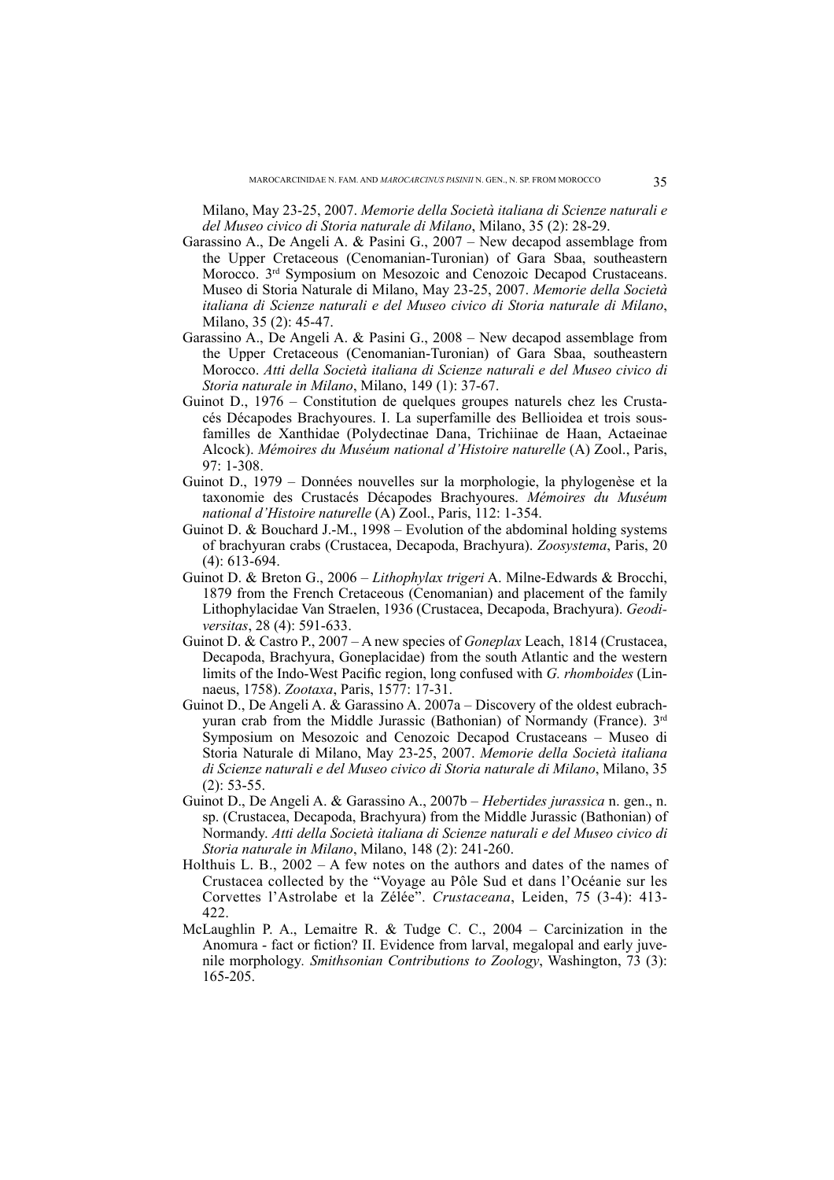Milano, May 23-25, 2007. *Memorie della Società italiana di Scienze naturali e del Museo civico di Storia naturale di Milano*, Milano, 35 (2): 28-29.

- Garassino A., De Angeli A. & Pasini G., 2007 New decapod assemblage from the Upper Cretaceous (Cenomanian-Turonian) of Gara Sbaa, southeastern Morocco. 3<sup>rd</sup> Symposium on Mesozoic and Cenozoic Decapod Crustaceans. Museo di Storia Naturale di Milano, May 23-25, 2007. *Memorie della Società italiana di Scienze naturali e del Museo civico di Storia naturale di Milano*, Milano, 35 (2): 45-47.
- Garassino A., De Angeli A. & Pasini G., 2008 New decapod assemblage from the Upper Cretaceous (Cenomanian-Turonian) of Gara Sbaa, southeastern Morocco. *Atti della Società italiana di Scienze naturali e del Museo civico di Storia naturale in Milano*, Milano, 149 (1): 37-67.
- Guinot D., 1976 Constitution de quelques groupes naturels chez les Crustacés Décapodes Brachyoures. I. La superfamille des Bellioidea et trois sousfamilles de Xanthidae (Polydectinae Dana, Trichiinae de Haan, Actaeinae Alcock). *Mémoires du Muséum national d'Histoire naturelle* (A) Zool., Paris, 97: 1-308.
- Guinot D., 1979 Données nouvelles sur la morphologie, la phylogenèse et la taxonomie des Crustacés Décapodes Brachyoures. *Mémoires du Muséum national d'Histoire naturelle* (A) Zool., Paris, 112: 1-354.
- Guinot D. & Bouchard J.-M., 1998 Evolution of the abdominal holding systems of brachyuran crabs (Crustacea, Decapoda, Brachyura). *Zoosystema*, Paris, 20 (4): 613-694.
- Guinot D. & Breton G., 2006 *Lithophylax trigeri* A. Milne-Edwards & Brocchi, 1879 from the French Cretaceous (Cenomanian) and placement of the family Lithophylacidae Van Straelen, 1936 (Crustacea, Decapoda, Brachyura). *Geodiversitas*, 28 (4): 591-633.
- Guinot D. & Castro P., 2007 A new species of *Goneplax* Leach, 1814 (Crustacea, Decapoda, Brachyura, Goneplacidae) from the south Atlantic and the western limits of the Indo-West Pacific region, long confused with *G. rhomboides* (Linnaeus, 1758). *Zootaxa*, Paris, 1577: 17-31.
- Guinot D., De Angeli A. & Garassino A. 2007a Discovery of the oldest eubrachyuran crab from the Middle Jurassic (Bathonian) of Normandy (France). 3rd Symposium on Mesozoic and Cenozoic Decapod Crustaceans – Museo di Storia Naturale di Milano, May 23-25, 2007. *Memorie della Società italiana di Scienze naturali e del Museo civico di Storia naturale di Milano*, Milano, 35  $(2)$ : 53-55.
- Guinot D., De Angeli A. & Garassino A., 2007b *Hebertides jurassica* n. gen., n. sp. (Crustacea, Decapoda, Brachyura) from the Middle Jurassic (Bathonian) of Normandy. *Atti della Società italiana di Scienze naturali e del Museo civico di Storia naturale in Milano*, Milano, 148 (2): 241-260.
- Holthuis L. B., 2002 A few notes on the authors and dates of the names of Crustacea collected by the "Voyage au Pôle Sud et dans l'Océanie sur les Corvettes l'Astrolabe et la Zélée". *Crustaceana*, Leiden, 75 (3-4): 413- 422.
- McLaughlin P. A., Lemaitre R. & Tudge C. C., 2004 Carcinization in the Anomura - fact or fiction? II. Evidence from larval, megalopal and early juvenile morphology*. Smithsonian Contributions to Zoology*, Washington, 73 (3): 165-205.